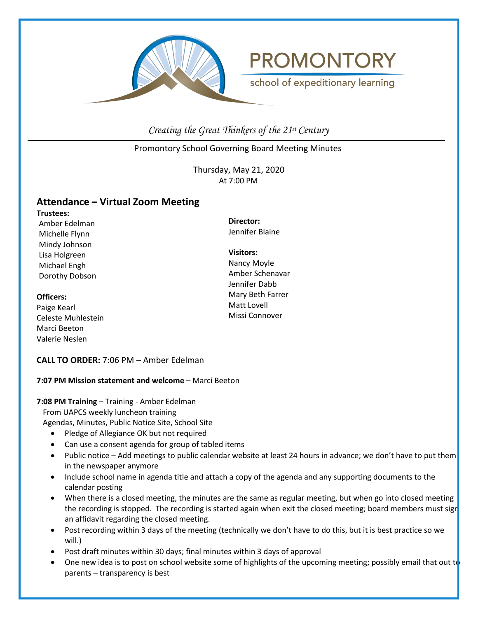

# **PROMONTORY**

school of expeditionary learning

*Creating the Great Thinkers of the 21st Century*

Promontory School Governing Board Meeting Minutes

Thursday, May 21, 2020 At 7:00 PM

# **Attendance – Virtual Zoom Meeting**

**Trustees:** Amber Edelman Michelle Flynn Mindy Johnson Lisa Holgreen Michael Engh Dorothy Dobson

# **Officers:**

Paige Kearl Celeste Muhlestein Marci Beeton Valerie Neslen

**Director:** Jennifer Blaine

**Visitors:** Nancy Moyle Amber Schenavar Jennifer Dabb Mary Beth Farrer Matt Lovell Missi Connover

# **CALL TO ORDER:** 7:06 PM – Amber Edelman

# **7:07 PM Mission statement and welcome** – Marci Beeton

## **7:08 PM Training** – Training - Amber Edelman

From UAPCS weekly luncheon training

Agendas, Minutes, Public Notice Site, School Site

- Pledge of Allegiance OK but not required
- Can use a consent agenda for group of tabled items
- Public notice Add meetings to public calendar website at least 24 hours in advance; we don't have to put them in the newspaper anymore
- Include school name in agenda title and attach a copy of the agenda and any supporting documents to the calendar posting
- When there is a closed meeting, the minutes are the same as regular meeting, but when go into closed meeting the recording is stopped. The recording is started again when exit the closed meeting; board members must sign an affidavit regarding the closed meeting.
- Post recording within 3 days of the meeting (technically we don't have to do this, but it is best practice so we will.)
- Post draft minutes within 30 days; final minutes within 3 days of approval
- One new idea is to post on school website some of highlights of the upcoming meeting; possibly email that out to parents – transparency is best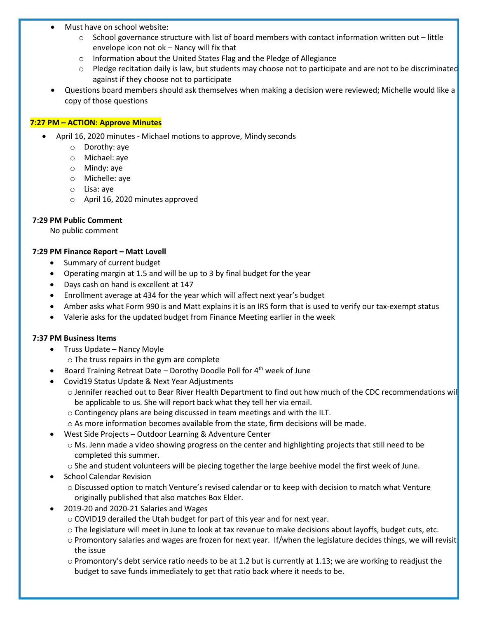- Must have on school website:
	- $\circ$  School governance structure with list of board members with contact information written out little envelope icon not ok – Nancy will fix that
	- o Information about the United States Flag and the Pledge of Allegiance
	- $\circ$  Pledge recitation daily is law, but students may choose not to participate and are not to be discriminated against if they choose not to participate
- Questions board members should ask themselves when making a decision were reviewed; Michelle would like a copy of those questions

## **7:27 PM – ACTION: Approve Minutes**

- April 16, 2020 minutes Michael motions to approve, Mindy seconds
	- o Dorothy: aye
	- o Michael: aye
	- o Mindy: aye
	- o Michelle: aye
	- o Lisa: aye
	- o April 16, 2020 minutes approved

# **7:29 PM Public Comment**

No public comment

# **7:29 PM Finance Report – Matt Lovell**

- Summary of current budget
- Operating margin at 1.5 and will be up to 3 by final budget for the year
- Days cash on hand is excellent at 147
- Enrollment average at 434 for the year which will affect next year's budget
- Amber asks what Form 990 is and Matt explains it is an IRS form that is used to verify our tax-exempt status
- Valerie asks for the updated budget from Finance Meeting earlier in the week

## **7:37 PM Business Items**

- Truss Update Nancy Moyle
	- o The truss repairs in the gym are complete
- Board Training Retreat Date Dorothy Doodle Poll for  $4<sup>th</sup>$  week of June
- Covid19 Status Update & Next Year Adjustments
	- o Jennifer reached out to Bear River Health Department to find out how much of the CDC recommendations will be applicable to us. She will report back what they tell her via email.
	- o Contingency plans are being discussed in team meetings and with the ILT.
	- $\circ$  As more information becomes available from the state, firm decisions will be made.
- West Side Projects Outdoor Learning & Adventure Center
	- o Ms. Jenn made a video showing progress on the center and highlighting projects that still need to be completed this summer.
	- o She and student volunteers will be piecing together the large beehive model the first week of June.
- School Calendar Revision
	- o Discussed option to match Venture's revised calendar or to keep with decision to match what Venture originally published that also matches Box Elder.
- 2019-20 and 2020-21 Salaries and Wages
	- o COVID19 derailed the Utah budget for part of this year and for next year.
	- o The legislature will meet in June to look at tax revenue to make decisions about layoffs, budget cuts, etc.
	- o Promontory salaries and wages are frozen for next year. If/when the legislature decides things, we will revisit the issue
	- $\circ$  Promontory's debt service ratio needs to be at 1.2 but is currently at 1.13; we are working to readjust the budget to save funds immediately to get that ratio back where it needs to be.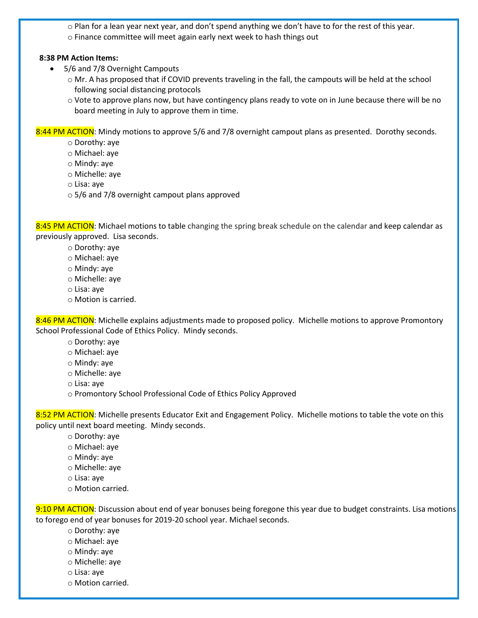$\circ$  Plan for a lean year next year, and don't spend anything we don't have to for the rest of this year. o Finance committee will meet again early next week to hash things out

#### **8:38 PM Action Items:**

- 5/6 and 7/8 Overnight Campouts
	- o Mr. A has proposed that if COVID prevents traveling in the fall, the campouts will be held at the school following social distancing protocols
	- $\circ$  Vote to approve plans now, but have contingency plans ready to vote on in June because there will be no board meeting in July to approve them in time.

8:44 PM ACTION: Mindy motions to approve 5/6 and 7/8 overnight campout plans as presented. Dorothy seconds.

- o Dorothy: aye
- o Michael: aye
- o Mindy: aye
- o Michelle: aye
- o Lisa: aye
- o 5/6 and 7/8 overnight campout plans approved

8:45 PM ACTION: Michael motions to table changing the spring break schedule on the calendar and keep calendar as previously approved. Lisa seconds.

- o Dorothy: aye
- o Michael: aye
- o Mindy: aye
- o Michelle: aye
- o Lisa: aye
- o Motion is carried.

8:46 PM ACTION: Michelle explains adjustments made to proposed policy. Michelle motions to approve Promontory School Professional Code of Ethics Policy. Mindy seconds.

- o Dorothy: aye
- o Michael: aye
- o Mindy: aye
- o Michelle: aye
- o Lisa: aye
- o Promontory School Professional Code of Ethics Policy Approved

8:52 PM ACTION: Michelle presents Educator Exit and Engagement Policy. Michelle motions to table the vote on this policy until next board meeting. Mindy seconds.

- o Dorothy: aye
- o Michael: aye
- o Mindy: aye
- o Michelle: aye
- o Lisa: aye
- o Motion carried.

9:10 PM ACTION: Discussion about end of year bonuses being foregone this year due to budget constraints. Lisa motions to forego end of year bonuses for 2019-20 school year. Michael seconds.

- o Dorothy: aye
- o Michael: aye
- o Mindy: aye
- o Michelle: aye
- o Lisa: aye
- o Motion carried.